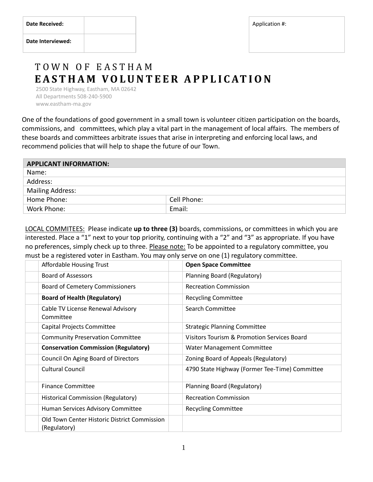|  | <b>Date Received:</b> |  |
|--|-----------------------|--|
|--|-----------------------|--|

## T O W N O F E A S T H A M  **E A S T H A M V O L U N T E E R A P P L I C AT I O N**

 2500 State Highway, Eastham, MA 02642 All Departments 508-240-5900 www.eastham-ma.gov

One of the foundations of good government in a small town is volunteer citizen participation on the boards, commissions, and committees, which play a vital part in the management of local affairs. The members of these boards and committees arbitrate issues that arise in interpreting and enforcing local laws, and recommend policies that will help to shape the future of our Town.

| <b>APPLICANT INFORMATION:</b> |             |  |  |  |
|-------------------------------|-------------|--|--|--|
| Name:                         |             |  |  |  |
| Address:                      |             |  |  |  |
| <b>Mailing Address:</b>       |             |  |  |  |
| Home Phone:                   | Cell Phone: |  |  |  |
| Work Phone:                   | Email:      |  |  |  |

LOCAL COMMITEES: Please indicate **up to three (3)** boards, commissions, or committees in which you are interested. Place a "1" next to your top priority, continuing with a "2" and "3" as appropriate. If you have no preferences, simply check up to three. Please note: To be appointed to a regulatory committee, you must be a registered voter in Eastham. You may only serve on one (1) regulatory committee.

| Affordable Housing Trust                                     | <b>Open Space Committee</b>                            |
|--------------------------------------------------------------|--------------------------------------------------------|
| <b>Board of Assessors</b>                                    | Planning Board (Regulatory)                            |
| <b>Board of Cemetery Commissioners</b>                       | <b>Recreation Commission</b>                           |
| <b>Board of Health (Regulatory)</b>                          | <b>Recycling Committee</b>                             |
| Cable TV License Renewal Advisory<br>Committee               | Search Committee                                       |
| Capital Projects Committee                                   | <b>Strategic Planning Committee</b>                    |
| <b>Community Preservation Committee</b>                      | <b>Visitors Tourism &amp; Promotion Services Board</b> |
| <b>Conservation Commission (Regulatory)</b>                  | Water Management Committee                             |
| Council On Aging Board of Directors                          | Zoning Board of Appeals (Regulatory)                   |
| <b>Cultural Council</b>                                      | 4790 State Highway (Former Tee-Time) Committee         |
| <b>Finance Committee</b>                                     | Planning Board (Regulatory)                            |
| <b>Historical Commission (Regulatory)</b>                    | <b>Recreation Commission</b>                           |
| Human Services Advisory Committee                            | <b>Recycling Committee</b>                             |
| Old Town Center Historic District Commission<br>(Regulatory) |                                                        |